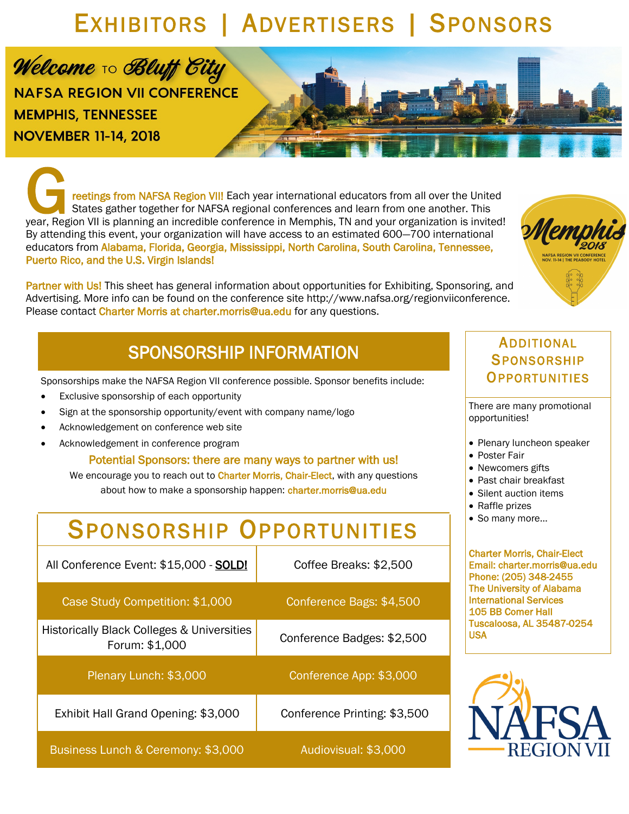# EXHIBITORS | ADVERTISERS | SPONSORS

Welcome To Bluff City **NAFSA REGION VII CONFERENCE MEMPHIS, TENNESSEE NOVEMBER 11-14, 2018** 

The tings from NAFSA Region VIII Each year international educators from all over the United<br>States gather together for NAFSA regional conferences and learn from one another. This<br>year, Region VII is planning an incredible reetings from NAFSA Region VIII Each year international educators from all over the United States gather together for NAFSA regional conferences and learn from one another. This By attending this event, your organization will have access to an estimated 600—700 international educators from Alabama, Florida, Georgia, Mississippi, North Carolina, South Carolina, Tennessee, Puerto Rico, and the U.S. Virgin Islands!

Partner with Us! This sheet has general information about opportunities for Exhibiting, Sponsoring, and Advertising. More info can be found on the conference site http://www.nafsa.org/regionviiconference. Please contact Charter Morris at charter.morris@ua.edu for any questions.

# SPONSORSHIP INFORMATION

Sponsorships make the NAFSA Region VII conference possible. Sponsor benefits include:

- Exclusive sponsorship of each opportunity
- Sign at the sponsorship opportunity/event with company name/logo
- Acknowledgement on conference web site
- Acknowledgement in conference program

Potential Sponsors: there are many ways to partner with us!

We encourage you to reach out to Charter Morris, Chair-Elect, with any questions about how to make a sponsorship happen: charter.morris@ua.edu

# SPONSORSHIP OPPORTUNITIES

| All Conference Event: \$15,000 - SOLD!                       | Coffee Breaks: \$2,500       |  |
|--------------------------------------------------------------|------------------------------|--|
| Case Study Competition: \$1,000                              | Conference Bags: \$4,500     |  |
| Historically Black Colleges & Universities<br>Forum: \$1,000 | Conference Badges: \$2,500   |  |
| Plenary Lunch: \$3,000                                       | Conference App: \$3,000      |  |
| Exhibit Hall Grand Opening: \$3,000                          | Conference Printing: \$3,500 |  |
| Business Lunch & Ceremony: \$3,000                           | Audiovisual: \$3,000         |  |

# ADDITIONAL **SPONSORSHIP OPPORTUNITIES**

There are many promotional opportunities!

- Plenary luncheon speaker
- Poster Fair
- Newcomers gifts
- Past chair breakfast
- Silent auction items
- Raffle prizes
- So many more…

Charter Morris, Chair-Elect Email: charter.morris@ua.edu Phone: (205) 348-2455 The University of Alabama International Services 105 BB Comer Hall Tuscaloosa, AL 35487-0254 USA